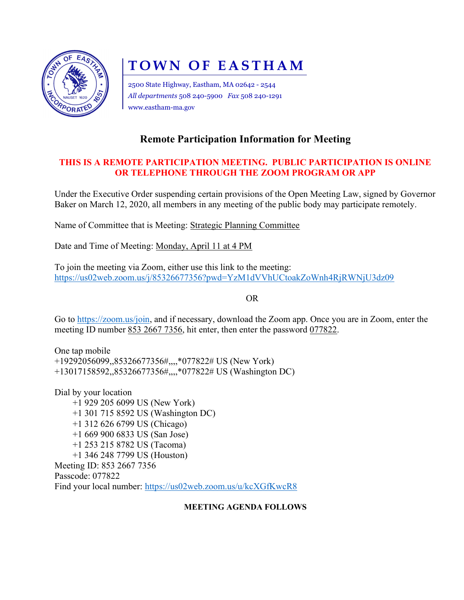

# TOWN OF EASTHAM

2500 State Highway, Eastham, MA 02642 - 2544 All departments 508 240-5900 Fax 508 240-1291 www.eastham-ma.gov

# Remote Participation Information for Meeting

## THIS IS A REMOTE PARTICIPATION MEETING. PUBLIC PARTICIPATION IS ONLINE OR TELEPHONE THROUGH THE ZOOM PROGRAM OR APP

Under the Executive Order suspending certain provisions of the Open Meeting Law, signed by Governor Baker on March 12, 2020, all members in any meeting of the public body may participate remotely.

Name of Committee that is Meeting: Strategic Planning Committee

Date and Time of Meeting: Monday, April 11 at 4 PM

To join the meeting via Zoom, either use this link to the meeting: https://us02web.zoom.us/j/85326677356?pwd=YzM1dVVhUCtoakZoWnh4RjRWNjU3dz09

OR

Go to https://zoom.us/join, and if necessary, download the Zoom app. Once you are in Zoom, enter the meeting ID number 853 2667 7356, hit enter, then enter the password 077822.

One tap mobile +19292056099,,85326677356#,,,,\*077822# US (New York) +13017158592,,85326677356#,,,,\*077822# US (Washington DC)

Dial by your location +1 929 205 6099 US (New York) +1 301 715 8592 US (Washington DC) +1 312 626 6799 US (Chicago) +1 669 900 6833 US (San Jose) +1 253 215 8782 US (Tacoma) +1 346 248 7799 US (Houston) Meeting ID: 853 2667 7356 Passcode: 077822 Find your local number: https://us02web.zoom.us/u/kcXGfKwcR8

### MEETING AGENDA FOLLOWS